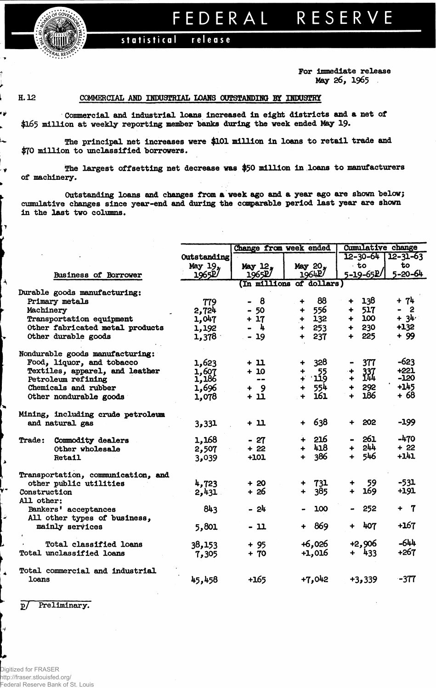

## FEDERAL RESERVE

## statistical release

**For Immediate release May 26, 1965**

ŕ ⇂ Ĺ

ú۶

L,

, v

 $\mathbf{y}$ 

 $\overline{\phantom{a}}$ 

Ŵ

 $\blacktriangle$ 

۸

 $\ddot{\bullet}$ 

 $\overline{t}$ 

**H. 12 COMMERCIAL AMD INDUSTRIAL LOAMS OOTSTAMDIHS BY INDUSTRY**

**Commercial and Industrial loans Increased in eight districts and a net of \$165 million at weekly reporting member "banks during the veek ended May 19-**

**The principal net increases were \$101 million in loans to retail trade and \$70 million to unclassified borrowers.**

**The largest offsetting net decrease was \$50 million in loans to manufacturers of machinery.**

**Outstanding loans and changes from a week ago and a year ago are shown "below; cumulative changes since year-end and during the comparable period last year are shown in the last two columns.**

|                                    |             | Change from week ended |                          | <b>Cumulative change</b>    |                         |  |  |
|------------------------------------|-------------|------------------------|--------------------------|-----------------------------|-------------------------|--|--|
|                                    | Outstanding |                        |                          | $12 - 30 - 64$              | $12 - 31 - 63$          |  |  |
|                                    | May 19,     | May 12.                | May 20,                  | ∙ to                        | to                      |  |  |
| <b>Business of Borrower</b>        | 1965P/      | 1965P/                 | 1964P                    | 5-19-65R/                   | $5 - 20 - 64$           |  |  |
|                                    |             |                        | (In millions of dollars) |                             |                         |  |  |
| Durable goods manufacturing:       |             |                        |                          |                             |                         |  |  |
| Primary metals                     | 779         | 8                      | 88<br>÷                  | + 138                       | $+ 74$                  |  |  |
| Machinery                          | 2,724       | $-50$                  | 556<br>÷                 | $+ 517$                     | $\overline{\mathbf{2}}$ |  |  |
| Transportation equipment           | 1,047       | $+17$                  | 132<br>$+$               | $+ 100$                     | $+ 34$                  |  |  |
| Other fabricated metal products    | 1,192       | $\frac{1}{2}$          | 253<br>$\ddotmark$       | $+ 230$                     | $+132$                  |  |  |
| Other durable goods                | 1,378       | $-19$                  | 237                      | 225<br>$+$                  | + 99                    |  |  |
| Nondurable goods manufacturing:    |             |                        |                          |                             |                         |  |  |
| Food, liquor, and tobacco          | 1,623       | + 11                   | 328                      | 377                         | $-623$                  |  |  |
| Textiles, apparel, and leather     | 1,607       | $+10$                  |                          |                             | $+221$                  |  |  |
| Petroleum refining                 | 1,186       | $- -$                  | $^{55}_{12}$             | 337<br>$\ddot{\phantom{1}}$ | $-120$                  |  |  |
| Chemicals and rubber               | 1,696       | - 9<br>÷               | 554                      | 292<br>$+$                  | $+145$                  |  |  |
| Other nondurable goods             | 1,078       | + 11                   | 161                      | 186<br>$\ddotmark$          | + 68                    |  |  |
| Mining, including crude petroleum  |             |                        |                          |                             |                         |  |  |
| and natural gas                    | 3,331       | + 11                   | 638<br>$\ddotmark$       | 202                         | $-199$                  |  |  |
|                                    |             |                        |                          |                             |                         |  |  |
| Trade: Commodity dealers           | 1,168       | $-27$                  | 216                      | 261                         | $-470$                  |  |  |
| Other wholesale                    | 2,507       | $+22$                  | 418                      | 244<br>+                    | $+22$                   |  |  |
| Retail                             | 3,039       | $+101$                 | 386<br>∔                 | 546<br>÷                    | +141                    |  |  |
| Transportation, communication, and |             |                        |                          |                             |                         |  |  |
| other public utilities             | 4,723       | $+20$                  | 731                      | -59                         | $-531$                  |  |  |
| Construction                       | 2,431       | + 26                   | 385<br>$\ddot{\bullet}$  | 169                         | +191                    |  |  |
| All other:                         |             |                        |                          |                             |                         |  |  |
| Bankers' acceptances               | 843         | - 24                   | 100                      | 252                         | + 7                     |  |  |
| All other types of business,       |             |                        |                          |                             |                         |  |  |
| mainly services                    | 5,801       | - 11                   | + 869                    | 407                         | $+167$                  |  |  |
|                                    |             |                        |                          |                             |                         |  |  |
| Total classified loans             | 38,153      | $+95$                  | $+6,026$                 | $+2,906$                    | $-644$                  |  |  |
| Total unclassified loans           | 7,305       | $+ 70$                 | $+1,016$                 | $+ 433$                     | $+267$                  |  |  |
| Total commercial and industrial    |             |                        |                          |                             |                         |  |  |
| loans                              | 45,458      | $+165$                 | $+7,042$                 | $+3,339$                    | -377                    |  |  |

**!>/ Preliminary?**